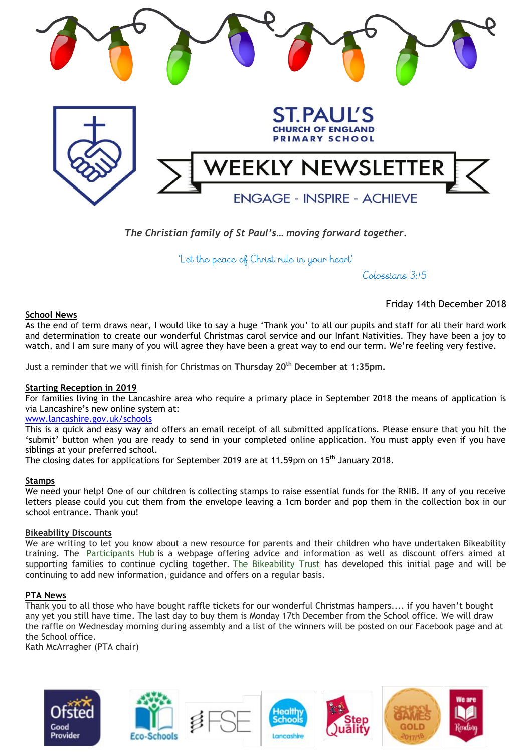

*The Christian family of St Paul's… moving forward together.* 

'Let the peace of Christ rule in your heart'

Colossians 3:15

# **School News**

Friday 14th December 2018

As the end of term draws near, I would like to say a huge 'Thank you' to all our pupils and staff for all their hard work and determination to create our wonderful Christmas carol service and our Infant Nativities. They have been a joy to watch, and I am sure many of you will agree they have been a great way to end our term. We're feeling very festive.

Just a reminder that we will finish for Christmas on **Thursday 20th December at 1:35pm.**

# **Starting Reception in 2019**

For families living in the Lancashire area who require a primary place in September 2018 the means of application is via Lancashire's new online system at:

# [www.lancashire.gov.uk/schools](http://www.lancashire.gov.uk/schools)

This is a quick and easy way and offers an email receipt of all submitted applications. Please ensure that you hit the 'submit' button when you are ready to send in your completed online application. You must apply even if you have siblings at your preferred school.

The closing dates for applications for September 2019 are at 11.59pm on 15<sup>th</sup> January 2018.

### **Stamps**

We need your help! One of our children is collecting stamps to raise essential funds for the RNIB. If any of you receive letters please could you cut them from the envelope leaving a 1cm border and pop them in the collection box in our school entrance. Thank you!

### **Bikeability Discounts**

We are writing to let you know about a new resource for parents and their children who have undertaken Bikeability training. The [Participants Hub](https://bikeability.us19.list-manage.com/track/click?u=a56de4edea5f81a9a8a54fe34&id=8350864f00&e=f10b08217d) is a webpage offering advice and information as well as discount offers aimed at supporting families to continue cycling together. [The Bikeability Trust](https://bikeability.us19.list-manage.com/track/click?u=a56de4edea5f81a9a8a54fe34&id=3b07c675ee&e=f10b08217d) has developed this initial page and will be continuing to add new information, guidance and offers on a regular basis.

# **PTA News**

Thank you to all those who have bought raffle tickets for our wonderful Christmas hampers.... if you haven't bought any yet you still have time. The last day to buy them is Monday 17th December from the School office. We will draw the raffle on Wednesday morning during assembly and a list of the winners will be posted on our Facebook page and at the School office.

Kath McArragher (PTA chair)

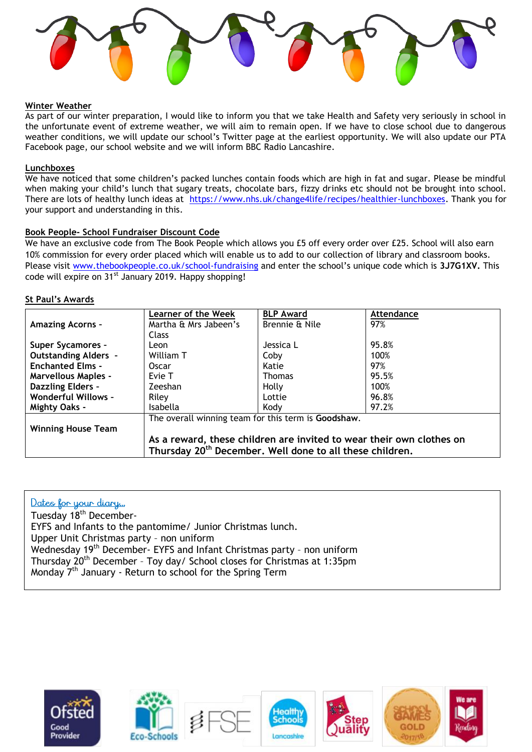

## **Winter Weather**

As part of our winter preparation, I would like to inform you that we take Health and Safety very seriously in school in the unfortunate event of extreme weather, we will aim to remain open. If we have to close school due to dangerous weather conditions, we will update our school's Twitter page at the earliest opportunity. We will also update our PTA Facebook page, our school website and we will inform BBC Radio Lancashire.

### **Lunchboxes**

We have noticed that some children's packed lunches contain foods which are high in fat and sugar. Please be mindful when making your child's lunch that sugary treats, chocolate bars, fizzy drinks etc should not be brought into school. There are lots of healthy lunch ideas at [https://www.nhs.uk/change4life/recipes/healthier-lunchboxes.](https://www.nhs.uk/change4life/recipes/healthier-lunchboxes) Thank you for your support and understanding in this.

# **Book People- School Fundraiser Discount Code**

We have an exclusive code from The Book People which allows you £5 off every order over £25. School will also earn 10% commission for every order placed which will enable us to add to our collection of library and classroom books. Please visit [www.thebookpeople.co.uk/school-fundraising](http://www.thebookpeople.co.uk/school-fundraising) and enter the school's unique code which is **3J7G1XV.** This code will expire on 31<sup>st</sup> January 2019. Happy shopping!

# **St Paul's Awards**

|                             | <b>Learner of the Week</b>                                                                                                                   | <b>BLP Award</b> | Attendance |
|-----------------------------|----------------------------------------------------------------------------------------------------------------------------------------------|------------------|------------|
| <b>Amazing Acorns -</b>     | Martha & Mrs Jabeen's                                                                                                                        | Brennie & Nile   | 97%        |
|                             | Class                                                                                                                                        |                  |            |
| <b>Super Sycamores -</b>    | Leon                                                                                                                                         | Jessica L        | 95.8%      |
| <b>Outstanding Alders -</b> | William T                                                                                                                                    | Coby             | 100%       |
| <b>Enchanted Elms -</b>     | Oscar                                                                                                                                        | Katie            | 97%        |
| <b>Marvellous Maples -</b>  | Evie T                                                                                                                                       | <b>Thomas</b>    | 95.5%      |
| <b>Dazzling Elders -</b>    | Zeeshan                                                                                                                                      | Holly            | 100%       |
| <b>Wonderful Willows -</b>  | Riley                                                                                                                                        | Lottie           | 96.8%      |
| <b>Mighty Oaks -</b>        | Isabella                                                                                                                                     | Kody             | 97.2%      |
|                             | The overall winning team for this term is Goodshaw.                                                                                          |                  |            |
| <b>Winning House Team</b>   |                                                                                                                                              |                  |            |
|                             | As a reward, these children are invited to wear their own clothes on<br>Thursday 20 <sup>th</sup> December. Well done to all these children. |                  |            |

# Dates for your diary...

Tuesday 18th December-EYFS and Infants to the pantomime/ Junior Christmas lunch. Upper Unit Christmas party – non uniform Wednesday 19<sup>th</sup> December- EYFS and Infant Christmas party - non uniform Thursday 20th December – Toy day/ School closes for Christmas at 1:35pm Monday 7th January - Return to school for the Spring Term